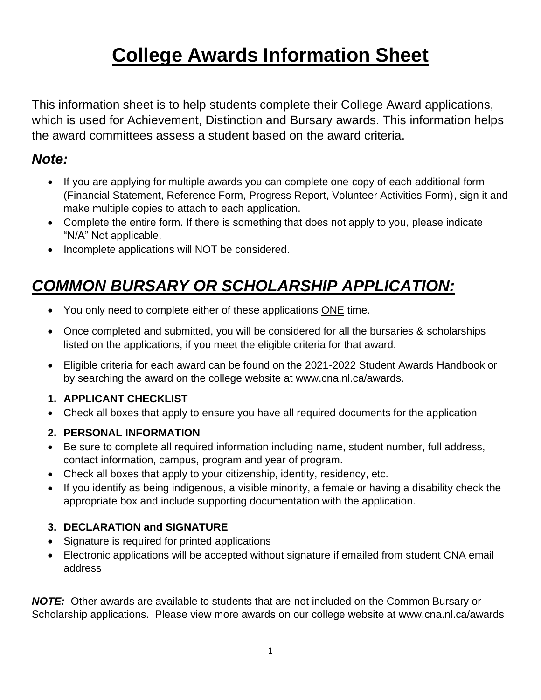# **College Awards Information Sheet**

This information sheet is to help students complete their College Award applications, which is used for Achievement, Distinction and Bursary awards. This information helps the award committees assess a student based on the award criteria.

### *Note:*

- If you are applying for multiple awards you can complete one copy of each additional form (Financial Statement, Reference Form, Progress Report, Volunteer Activities Form), sign it and make multiple copies to attach to each application.
- Complete the entire form. If there is something that does not apply to you, please indicate "N/A" Not applicable.
- Incomplete applications will NOT be considered.

# *COMMON BURSARY OR SCHOLARSHIP APPLICATION:*

- You only need to complete either of these applications ONE time.
- Once completed and submitted, you will be considered for all the bursaries & scholarships listed on the applications, if you meet the eligible criteria for that award.
- Eligible criteria for each award can be found on the 2021-2022 Student Awards Handbook or by searching the award on the college website at www.cna.nl.ca/awards.

### **1. APPLICANT CHECKLIST**

• Check all boxes that apply to ensure you have all required documents for the application

### **2. PERSONAL INFORMATION**

- Be sure to complete all required information including name, student number, full address, contact information, campus, program and year of program.
- Check all boxes that apply to your citizenship, identity, residency, etc.
- If you identify as being indigenous, a visible minority, a female or having a disability check the appropriate box and include supporting documentation with the application.

### **3. DECLARATION and SIGNATURE**

- Signature is required for printed applications
- Electronic applications will be accepted without signature if emailed from student CNA email address

*NOTE:* Other awards are available to students that are not included on the Common Bursary or Scholarship applications. Please view more awards on our college website at www.cna.nl.ca/awards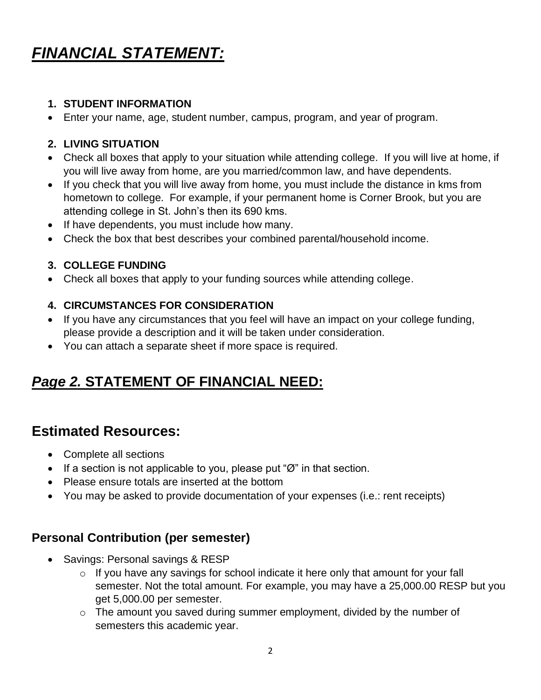# *FINANCIAL STATEMENT:*

### **1. STUDENT INFORMATION**

• Enter your name, age, student number, campus, program, and year of program.

#### **2. LIVING SITUATION**

- Check all boxes that apply to your situation while attending college. If you will live at home, if you will live away from home, are you married/common law, and have dependents.
- If you check that you will live away from home, you must include the distance in kms from hometown to college. For example, if your permanent home is Corner Brook, but you are attending college in St. John's then its 690 kms.
- If have dependents, you must include how many.
- Check the box that best describes your combined parental/household income.

#### **3. COLLEGE FUNDING**

• Check all boxes that apply to your funding sources while attending college.

### **4. CIRCUMSTANCES FOR CONSIDERATION**

- If you have any circumstances that you feel will have an impact on your college funding, please provide a description and it will be taken under consideration.
- You can attach a separate sheet if more space is required.

### *Page 2.* **STATEMENT OF FINANCIAL NEED:**

### **Estimated Resources:**

- Complete all sections
- If a section is not applicable to you, please put " $\emptyset$ " in that section.
- Please ensure totals are inserted at the bottom
- You may be asked to provide documentation of your expenses (i.e.: rent receipts)

### **Personal Contribution (per semester)**

- Savings: Personal savings & RESP
	- $\circ$  If you have any savings for school indicate it here only that amount for your fall semester. Not the total amount. For example, you may have a 25,000.00 RESP but you get 5,000.00 per semester.
	- o The amount you saved during summer employment, divided by the number of semesters this academic year.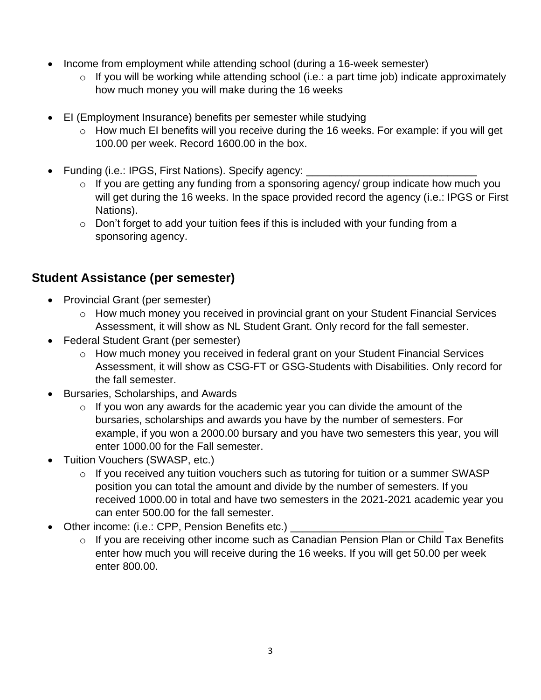- Income from employment while attending school (during a 16-week semester)
	- $\circ$  If you will be working while attending school (i.e.: a part time job) indicate approximately how much money you will make during the 16 weeks
- EI (Employment Insurance) benefits per semester while studying
	- o How much EI benefits will you receive during the 16 weeks. For example: if you will get 100.00 per week. Record 1600.00 in the box.
- Funding (i.e.: IPGS, First Nations). Specify agency:
	- o If you are getting any funding from a sponsoring agency/ group indicate how much you will get during the 16 weeks. In the space provided record the agency (i.e.: IPGS or First Nations).
	- $\circ$  Don't forget to add your tuition fees if this is included with your funding from a sponsoring agency.

### **Student Assistance (per semester)**

- Provincial Grant (per semester)
	- o How much money you received in provincial grant on your Student Financial Services Assessment, it will show as NL Student Grant. Only record for the fall semester.
- Federal Student Grant (per semester)
	- o How much money you received in federal grant on your Student Financial Services Assessment, it will show as CSG-FT or GSG-Students with Disabilities. Only record for the fall semester.
- Bursaries, Scholarships, and Awards
	- $\circ$  If you won any awards for the academic year you can divide the amount of the bursaries, scholarships and awards you have by the number of semesters. For example, if you won a 2000.00 bursary and you have two semesters this year, you will enter 1000.00 for the Fall semester.
- Tuition Vouchers (SWASP, etc.)
	- $\circ$  If you received any tuition vouchers such as tutoring for tuition or a summer SWASP position you can total the amount and divide by the number of semesters. If you received 1000.00 in total and have two semesters in the 2021-2021 academic year you can enter 500.00 for the fall semester.
- Other income: (i.e.: CPP, Pension Benefits etc.)
	- o If you are receiving other income such as Canadian Pension Plan or Child Tax Benefits enter how much you will receive during the 16 weeks. If you will get 50.00 per week enter 800.00.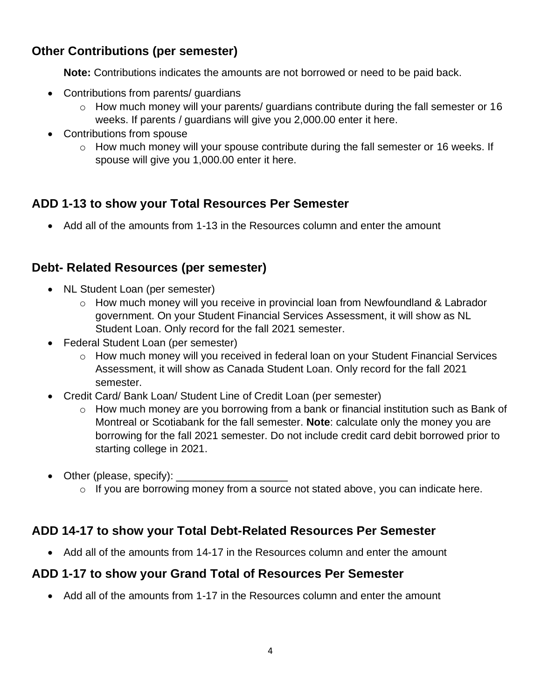### **Other Contributions (per semester)**

**Note:** Contributions indicates the amounts are not borrowed or need to be paid back.

- Contributions from parents/ guardians
	- o How much money will your parents/ guardians contribute during the fall semester or 16 weeks. If parents / guardians will give you 2,000.00 enter it here.
- Contributions from spouse
	- o How much money will your spouse contribute during the fall semester or 16 weeks. If spouse will give you 1,000.00 enter it here.

### **ADD 1-13 to show your Total Resources Per Semester**

• Add all of the amounts from 1-13 in the Resources column and enter the amount

### **Debt- Related Resources (per semester)**

- NL Student Loan (per semester)
	- o How much money will you receive in provincial loan from Newfoundland & Labrador government. On your Student Financial Services Assessment, it will show as NL Student Loan. Only record for the fall 2021 semester.
- Federal Student Loan (per semester)
	- o How much money will you received in federal loan on your Student Financial Services Assessment, it will show as Canada Student Loan. Only record for the fall 2021 semester.
- Credit Card/ Bank Loan/ Student Line of Credit Loan (per semester)
	- o How much money are you borrowing from a bank or financial institution such as Bank of Montreal or Scotiabank for the fall semester. **Note**: calculate only the money you are borrowing for the fall 2021 semester. Do not include credit card debit borrowed prior to starting college in 2021.
- Other (please, specify): \_\_\_\_\_\_\_\_\_\_\_\_\_\_\_\_\_\_\_
	- o If you are borrowing money from a source not stated above, you can indicate here.

### **ADD 14-17 to show your Total Debt-Related Resources Per Semester**

• Add all of the amounts from 14-17 in the Resources column and enter the amount

### **ADD 1-17 to show your Grand Total of Resources Per Semester**

• Add all of the amounts from 1-17 in the Resources column and enter the amount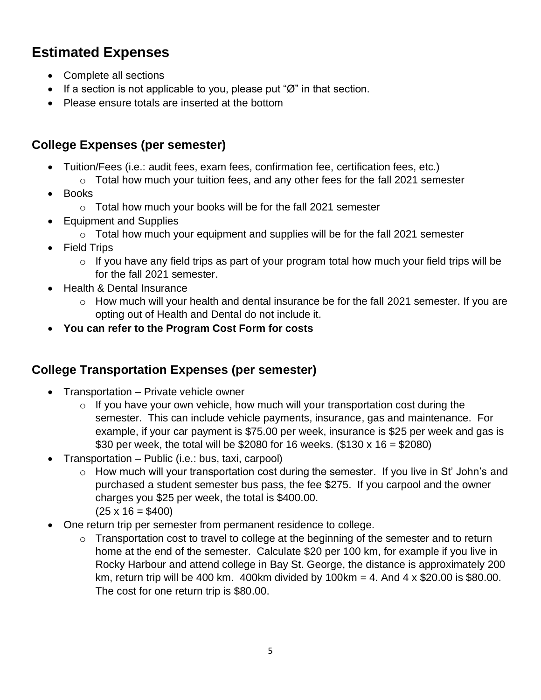### **Estimated Expenses**

- Complete all sections
- If a section is not applicable to you, please put " $\emptyset$ " in that section.
- Please ensure totals are inserted at the bottom

### **College Expenses (per semester)**

- Tuition/Fees (i.e.: audit fees, exam fees, confirmation fee, certification fees, etc.)
	- $\circ$  Total how much your tuition fees, and any other fees for the fall 2021 semester
- Books
	- o Total how much your books will be for the fall 2021 semester
- Equipment and Supplies
	- $\circ$  Total how much your equipment and supplies will be for the fall 2021 semester
- Field Trips
	- $\circ$  If you have any field trips as part of your program total how much your field trips will be for the fall 2021 semester.
- Health & Dental Insurance
	- o How much will your health and dental insurance be for the fall 2021 semester. If you are opting out of Health and Dental do not include it.
- **You can refer to the Program Cost Form for costs**

### **College Transportation Expenses (per semester)**

- Transportation Private vehicle owner
	- $\circ$  If you have your own vehicle, how much will your transportation cost during the semester. This can include vehicle payments, insurance, gas and maintenance. For example, if your car payment is \$75.00 per week, insurance is \$25 per week and gas is \$30 per week, the total will be \$2080 for 16 weeks. (\$130 x 16 = \$2080)
- Transportation Public (i.e.: bus, taxi, carpool)
	- o How much will your transportation cost during the semester. If you live in St' John's and purchased a student semester bus pass, the fee \$275. If you carpool and the owner charges you \$25 per week, the total is \$400.00.  $(25 \times 16 = $400)$
- One return trip per semester from permanent residence to college.
	- o Transportation cost to travel to college at the beginning of the semester and to return home at the end of the semester. Calculate \$20 per 100 km, for example if you live in Rocky Harbour and attend college in Bay St. George, the distance is approximately 200 km, return trip will be 400 km. 400km divided by 100km = 4. And  $4 \times $20.00$  is \$80.00. The cost for one return trip is \$80.00.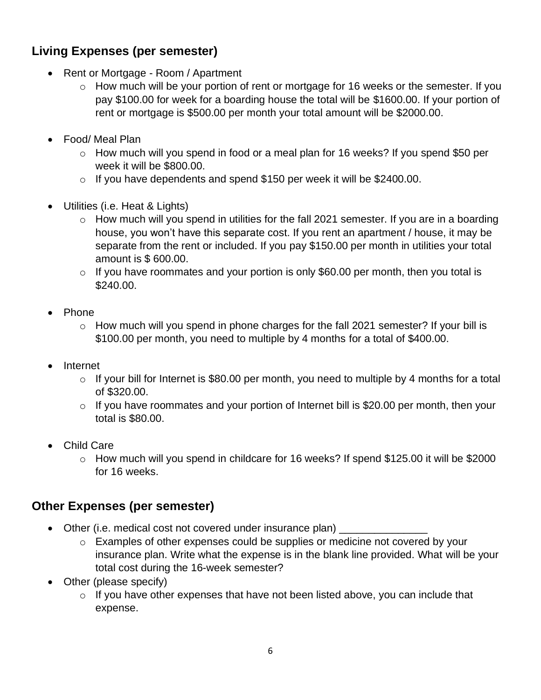### **Living Expenses (per semester)**

- Rent or Mortgage Room / Apartment
	- o How much will be your portion of rent or mortgage for 16 weeks or the semester. If you pay \$100.00 for week for a boarding house the total will be \$1600.00. If your portion of rent or mortgage is \$500.00 per month your total amount will be \$2000.00.
- Food/ Meal Plan
	- o How much will you spend in food or a meal plan for 16 weeks? If you spend \$50 per week it will be \$800.00.
	- $\circ$  If you have dependents and spend \$150 per week it will be \$2400.00.
- Utilities (i.e. Heat & Lights)
	- $\circ$  How much will you spend in utilities for the fall 2021 semester. If you are in a boarding house, you won't have this separate cost. If you rent an apartment / house, it may be separate from the rent or included. If you pay \$150.00 per month in utilities your total amount is \$ 600.00.
	- $\circ$  If you have roommates and your portion is only \$60.00 per month, then you total is \$240.00.
- Phone
	- $\circ$  How much will you spend in phone charges for the fall 2021 semester? If your bill is \$100.00 per month, you need to multiple by 4 months for a total of \$400.00.
- **Internet** 
	- $\circ$  If your bill for Internet is \$80.00 per month, you need to multiple by 4 months for a total of \$320.00.
	- o If you have roommates and your portion of Internet bill is \$20.00 per month, then your total is \$80.00.
- Child Care
	- o How much will you spend in childcare for 16 weeks? If spend \$125.00 it will be \$2000 for 16 weeks.

### **Other Expenses (per semester)**

- Other (i.e. medical cost not covered under insurance plan)
	- o Examples of other expenses could be supplies or medicine not covered by your insurance plan. Write what the expense is in the blank line provided. What will be your total cost during the 16-week semester?
- Other (please specify)
	- $\circ$  If you have other expenses that have not been listed above, you can include that expense.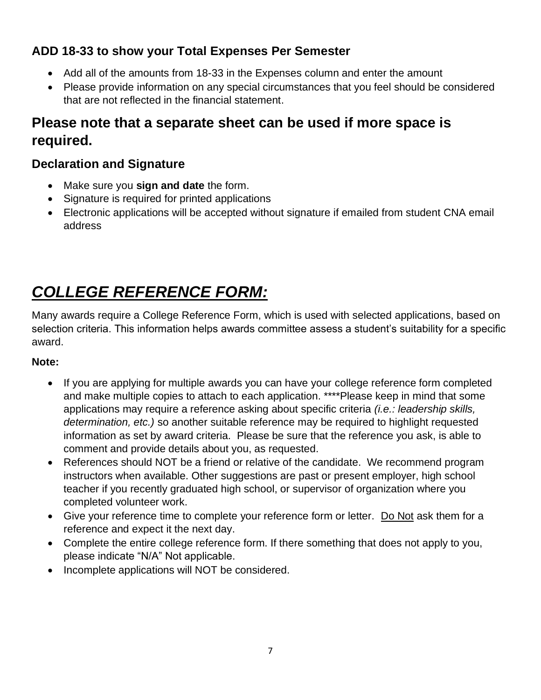### **ADD 18-33 to show your Total Expenses Per Semester**

- Add all of the amounts from 18-33 in the Expenses column and enter the amount
- Please provide information on any special circumstances that you feel should be considered that are not reflected in the financial statement.

### **Please note that a separate sheet can be used if more space is required.**

### **Declaration and Signature**

- Make sure you **sign and date** the form.
- Signature is required for printed applications
- Electronic applications will be accepted without signature if emailed from student CNA email address

# *COLLEGE REFERENCE FORM:*

Many awards require a College Reference Form, which is used with selected applications, based on selection criteria. This information helps awards committee assess a student's suitability for a specific award.

### **Note:**

- If you are applying for multiple awards you can have your college reference form completed and make multiple copies to attach to each application. \*\*\*\*Please keep in mind that some applications may require a reference asking about specific criteria *(i.e.: leadership skills, determination, etc.)* so another suitable reference may be required to highlight requested information as set by award criteria. Please be sure that the reference you ask, is able to comment and provide details about you, as requested.
- References should NOT be a friend or relative of the candidate. We recommend program instructors when available. Other suggestions are past or present employer, high school teacher if you recently graduated high school, or supervisor of organization where you completed volunteer work.
- Give your reference time to complete your reference form or letter. Do Not ask them for a reference and expect it the next day.
- Complete the entire college reference form. If there something that does not apply to you, please indicate "N/A" Not applicable.
- Incomplete applications will NOT be considered.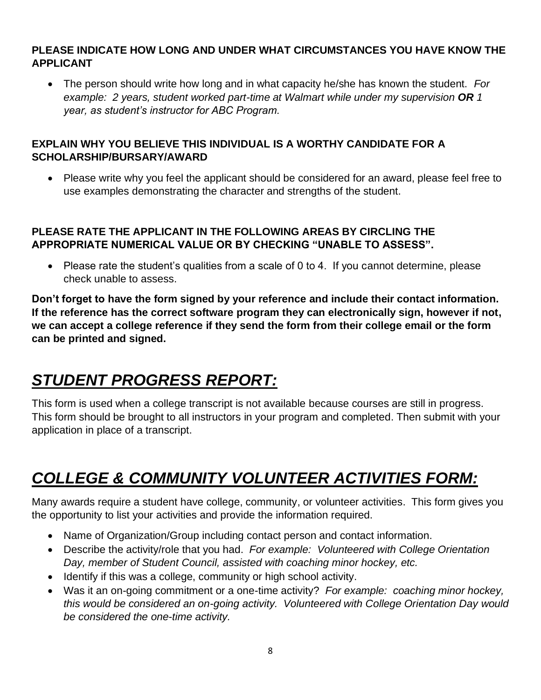### **PLEASE INDICATE HOW LONG AND UNDER WHAT CIRCUMSTANCES YOU HAVE KNOW THE APPLICANT**

• The person should write how long and in what capacity he/she has known the student. *For example: 2 years, student worked part-time at Walmart while under my supervision OR 1 year, as student's instructor for ABC Program.*

### **EXPLAIN WHY YOU BELIEVE THIS INDIVIDUAL IS A WORTHY CANDIDATE FOR A SCHOLARSHIP/BURSARY/AWARD**

• Please write why you feel the applicant should be considered for an award, please feel free to use examples demonstrating the character and strengths of the student.

### **PLEASE RATE THE APPLICANT IN THE FOLLOWING AREAS BY CIRCLING THE APPROPRIATE NUMERICAL VALUE OR BY CHECKING "UNABLE TO ASSESS".**

• Please rate the student's qualities from a scale of 0 to 4. If you cannot determine, please check unable to assess.

**Don't forget to have the form signed by your reference and include their contact information. If the reference has the correct software program they can electronically sign, however if not, we can accept a college reference if they send the form from their college email or the form can be printed and signed.**

# *STUDENT PROGRESS REPORT:*

This form is used when a college transcript is not available because courses are still in progress. This form should be brought to all instructors in your program and completed. Then submit with your application in place of a transcript.

# *COLLEGE & COMMUNITY VOLUNTEER ACTIVITIES FORM:*

Many awards require a student have college, community, or volunteer activities. This form gives you the opportunity to list your activities and provide the information required.

- Name of Organization/Group including contact person and contact information.
- Describe the activity/role that you had. *For example: Volunteered with College Orientation Day, member of Student Council, assisted with coaching minor hockey, etc.*
- Identify if this was a college, community or high school activity.
- Was it an on-going commitment or a one-time activity? *For example: coaching minor hockey, this would be considered an on-going activity. Volunteered with College Orientation Day would be considered the one-time activity.*